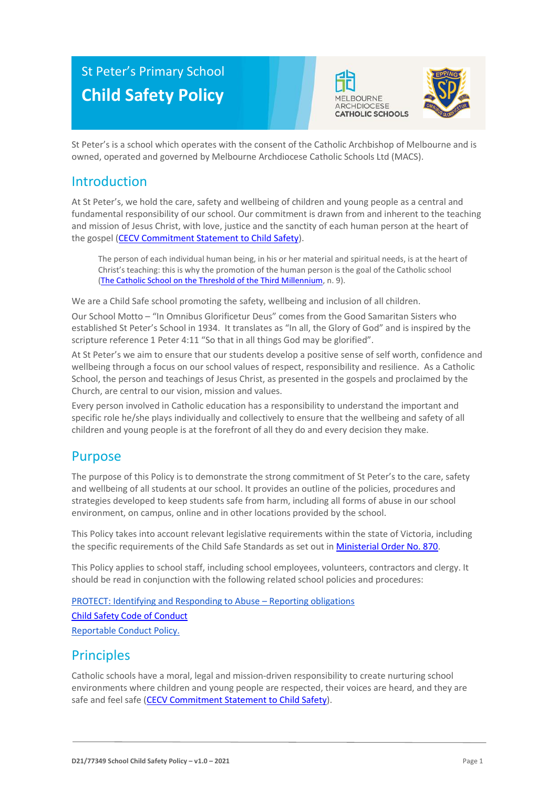# St Peter's Primary School **Child Safety Policy**





St Peter's is a school which operates with the consent of the Catholic Archbishop of Melbourne and is owned, operated and governed by Melbourne Archdiocese Catholic Schools Ltd (MACS).

## Introduction

At St Peter's, we hold the care, safety and wellbeing of children and young people as a central and fundamental responsibility of our school. Our commitment is drawn from and inherent to the teaching and mission of Jesus Christ, with love, justice and the sanctity of each human person at the heart of the gospel [\(CECV Commitment Statement to Child Safety\)](https://www.cecv.catholic.edu.au/getmedia/b5d43278-51b9-4704-b45a-f14e50546a70/Commitment-Statement-A4.aspx).

The person of each individual human being, in his or her material and spiritual needs, is at the heart of Christ's teaching: this is why the promotion of the human person is the goal of the Catholic school [\(The Catholic School on the Threshold of the Third Millennium,](http://www.vatican.va/roman_curia/congregations/ccatheduc/documents/rc_con_ccatheduc_doc_27041998_school2000_en.html) n. 9).

We are a Child Safe school promoting the safety, wellbeing and inclusion of all children.

Our School Motto – "In Omnibus Glorificetur Deus" comes from the Good Samaritan Sisters who established St Peter's School in 1934. It translates as "In all, the Glory of God" and is inspired by the scripture reference 1 Peter 4:11 "So that in all things God may be glorified".

At St Peter's we aim to ensure that our students develop a positive sense of self worth, confidence and wellbeing through a focus on our school values of respect, responsibility and resilience. As a Catholic School, the person and teachings of Jesus Christ, as presented in the gospels and proclaimed by the Church, are central to our vision, mission and values.

Every person involved in Catholic education has a responsibility to understand the important and specific role he/she plays individually and collectively to ensure that the wellbeing and safety of all children and young people is at the forefront of all they do and every decision they make.

### Purpose

The purpose of this Policy is to demonstrate the strong commitment of St Peter's to the care, safety and wellbeing of all students at our school. It provides an outline of the policies, procedures and strategies developed to keep students safe from harm, including all forms of abuse in our school environment, on campus, online and in other locations provided by the school.

This Policy takes into account relevant legislative requirements within the state of Victoria, including the specific requirements of the Child Safe Standards as set out in [Ministerial Order No. 870.](http://www.gazette.vic.gov.au/gazette/Gazettes2016/GG2016S002.pdf)

This Policy applies to school staff, including school employees, volunteers, contractors and clergy. It should be read in conjunction with the following related school policies and procedures:

[PROTECT: Identifying and Responding to Abuse](https://drive.google.com/file/d/1UXy8Op7PrikqtfN_MeNHHe6w3OYpC_Nb/view?usp=sharing) – Reporting obligations [Child Safety Code of Conduct](https://www.stprepp.catholic.edu.au/_files/ugd/9ea2db_b09d2c46faba40fe9d2d640881110ef5.pdf) [Reportable Conduct Policy.](https://www.stprepp.catholic.edu.au/_files/ugd/9ea2db_823ccb32ec9f49bcb99cdf5da2ac981d.pdf)

## **Principles**

Catholic schools have a moral, legal and mission-driven responsibility to create nurturing school environments where children and young people are respected, their voices are heard, and they are safe and feel safe [\(CECV Commitment Statement to Child Safety\)](https://www.cecv.catholic.edu.au/getmedia/b5d43278-51b9-4704-b45a-f14e50546a70/Commitment-Statement-A4.aspx).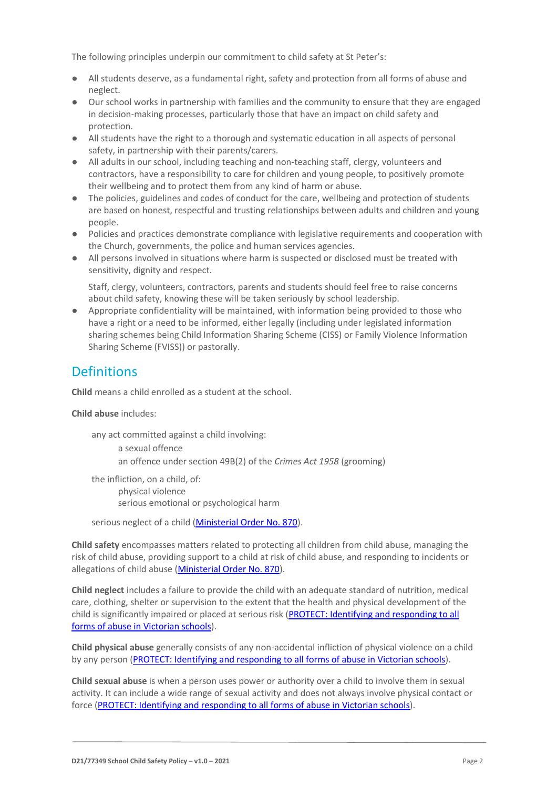The following principles underpin our commitment to child safety at St Peter's:

- All students deserve, as a fundamental right, safety and protection from all forms of abuse and neglect.
- Our school works in partnership with families and the community to ensure that they are engaged in decision-making processes, particularly those that have an impact on child safety and protection.
- All students have the right to a thorough and systematic education in all aspects of personal safety, in partnership with their parents/carers.
- All adults in our school, including teaching and non-teaching staff, clergy, volunteers and contractors, have a responsibility to care for children and young people, to positively promote their wellbeing and to protect them from any kind of harm or abuse.
- The policies, guidelines and codes of conduct for the care, wellbeing and protection of students are based on honest, respectful and trusting relationships between adults and children and young people.
- Policies and practices demonstrate compliance with legislative requirements and cooperation with the Church, governments, the police and human services agencies.
- All persons involved in situations where harm is suspected or disclosed must be treated with sensitivity, dignity and respect.

Staff, clergy, volunteers, contractors, parents and students should feel free to raise concerns about child safety, knowing these will be taken seriously by school leadership.

● Appropriate confidentiality will be maintained, with information being provided to those who have a right or a need to be informed, either legally (including under legislated information sharing schemes being Child Information Sharing Scheme (CISS) or Family Violence Information Sharing Scheme (FVISS)) or pastorally.

## **Definitions**

**Child** means a child enrolled as a student at the school.

**Child abuse** includes:

any act committed against a child involving: a sexual offence an offence under section 49B(2) of the *Crimes Act 1958* (grooming) the infliction, on a child, of: physical violence serious emotional or psychological harm

serious neglect of a child [\(Ministerial Order No. 870\)](http://www.gazette.vic.gov.au/gazette/Gazettes2016/GG2016S002.pdf).

**Child safety** encompasses matters related to protecting all children from child abuse, managing the risk of child abuse, providing support to a child at risk of child abuse, and responding to incidents or allegations of child abuse [\(Ministerial Order No. 870\)](http://www.gazette.vic.gov.au/gazette/Gazettes2016/GG2016S002.pdf).

**Child neglect** includes a failure to provide the child with an adequate standard of nutrition, medical care, clothing, shelter or supervision to the extent that the health and physical development of the child is significantly impaired or placed at serious risk (PROTECT: Identifying and responding to all [forms of abuse in Victorian schools\)](http://www.cecv.catholic.edu.au/getmedia/ebe135a4-d1b3-48a0-81fe-50d4fc451bcd/Identifying-and-Responding-to-All-Forms-of-Abuse.aspx#page%3D27).

**Child physical abuse** generally consists of any non-accidental infliction of physical violence on a child by any person [\(PROTECT: Identifying and responding to all forms of abuse in Victorian schools\)](https://www.cecv.catholic.edu.au/getmedia/ebe135a4-d1b3-48a0-81fe-50d4fc451bcd/Identifying-and-Responding-to-All-Forms-of-Abuse.aspx#page%3D15).

**Child sexual abuse** is when a person uses power or authority over a child to involve them in sexual activity. It can include a wide range of sexual activity and does not always involve physical contact or force [\(PROTECT: Identifying and responding to all forms of abuse in Victorian schools\)](https://www.cecv.catholic.edu.au/getmedia/ebe135a4-d1b3-48a0-81fe-50d4fc451bcd/Identifying-and-Responding-to-All-Forms-of-Abuse.aspx#page%3D17).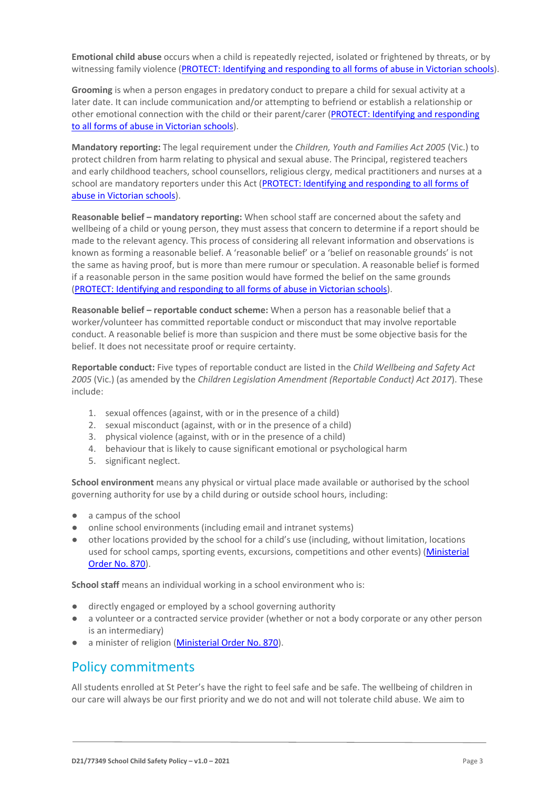**Emotional child abuse** occurs when a child is repeatedly rejected, isolated or frightened by threats, or by witnessing family violence [\(PROTECT: Identifying and responding to all forms of abuse in Victorian schools\)](https://www.cecv.catholic.edu.au/getmedia/ebe135a4-d1b3-48a0-81fe-50d4fc451bcd/Identifying-and-Responding-to-All-Forms-of-Abuse.aspx#page%3D26).

**Grooming** is when a person engages in predatory conduct to prepare a child for sexual activity at a later date. It can include communication and/or attempting to befriend or establish a relationship or other emotional connection with the child or their parent/carer [\(PROTECT: Identifying and responding](https://www.cecv.catholic.edu.au/getmedia/ebe135a4-d1b3-48a0-81fe-50d4fc451bcd/Identifying-and-Responding-to-All-Forms-of-Abuse.aspx#page%3D20)  [to all forms of abuse in Victorian schools\)](https://www.cecv.catholic.edu.au/getmedia/ebe135a4-d1b3-48a0-81fe-50d4fc451bcd/Identifying-and-Responding-to-All-Forms-of-Abuse.aspx#page%3D20).

**Mandatory reporting:** The legal requirement under the *Children, Youth and Families Act 2005* (Vic.) to protect children from harm relating to physical and sexual abuse. The Principal, registered teachers and early childhood teachers, school counsellors, religious clergy, medical practitioners and nurses at a school are mandatory reporters under this Act [\(PROTECT: Identifying and responding to all forms of](http://www.cecv.catholic.edu.au/getmedia/ebe135a4-d1b3-48a0-81fe-50d4fc451bcd/Identifying-and-Responding-to-All-Forms-of-Abuse.aspx#page%3D8)  [abuse in Victorian schools\)](http://www.cecv.catholic.edu.au/getmedia/ebe135a4-d1b3-48a0-81fe-50d4fc451bcd/Identifying-and-Responding-to-All-Forms-of-Abuse.aspx#page%3D8).

**Reasonable belief – mandatory reporting:** When school staff are concerned about the safety and wellbeing of a child or young person, they must assess that concern to determine if a report should be made to the relevant agency. This process of considering all relevant information and observations is known as forming a reasonable belief. A 'reasonable belief' or a 'belief on reasonable grounds' is not the same as having proof, but is more than mere rumour or speculation. A reasonable belief is formed if a reasonable person in the same position would have formed the belief on the same grounds [\(PROTECT: Identifying and responding to all forms of abuse in Victorian schools\)](http://www.cecv.catholic.edu.au/getmedia/ebe135a4-d1b3-48a0-81fe-50d4fc451bcd/Identifying-and-Responding-to-All-Forms-of-Abuse.aspx#page%3D35).

**Reasonable belief – reportable conduct scheme:** When a person has a reasonable belief that a worker/volunteer has committed reportable conduct or misconduct that may involve reportable conduct. A reasonable belief is more than suspicion and there must be some objective basis for the belief. It does not necessitate proof or require certainty.

**Reportable conduct:** Five types of reportable conduct are listed in the *Child Wellbeing and Safety Act 2005* (Vic.) (as amended by the *Children Legislation Amendment (Reportable Conduct) Act 2017*). These include:

- 1. sexual offences (against, with or in the presence of a child)
- 2. sexual misconduct (against, with or in the presence of a child)
- 3. physical violence (against, with or in the presence of a child)
- 4. behaviour that is likely to cause significant emotional or psychological harm
- 5. significant neglect.

**School environment** means any physical or virtual place made available or authorised by the school governing authority for use by a child during or outside school hours, including:

- a campus of the school
- online school environments (including email and intranet systems)
- other locations provided by the school for a child's use (including, without limitation, locations used for school camps, sporting events, excursions, competitions and other events) [\(Ministerial](http://www.gazette.vic.gov.au/gazette/Gazettes2016/GG2016S002.pdf)  [Order No. 870\)](http://www.gazette.vic.gov.au/gazette/Gazettes2016/GG2016S002.pdf).

**School staff** means an individual working in a school environment who is:

- directly engaged or employed by a school governing authority
- a volunteer or a contracted service provider (whether or not a body corporate or any other person is an intermediary)
- a minister of religion [\(Ministerial Order No. 870\)](http://www.gazette.vic.gov.au/gazette/Gazettes2016/GG2016S002.pdf).

## Policy commitments

All students enrolled at St Peter's have the right to feel safe and be safe. The wellbeing of children in our care will always be our first priority and we do not and will not tolerate child abuse. We aim to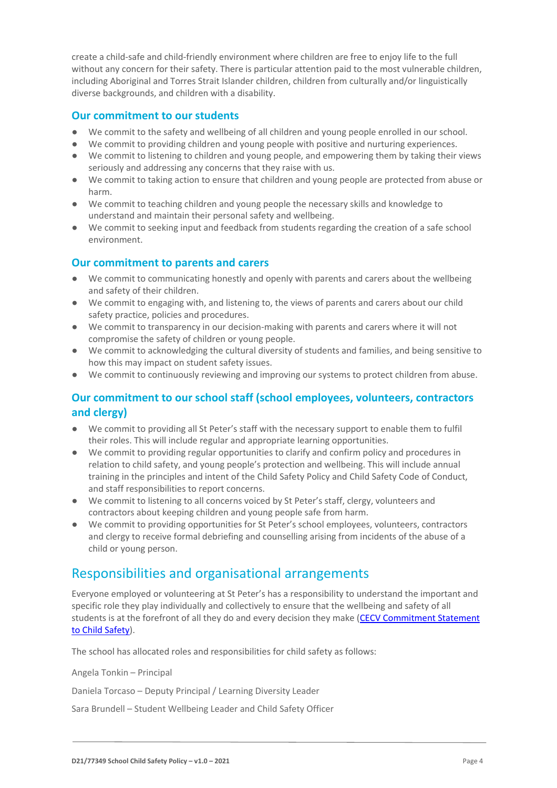create a child-safe and child-friendly environment where children are free to enjoy life to the full without any concern for their safety. There is particular attention paid to the most vulnerable children, including Aboriginal and Torres Strait Islander children, children from culturally and/or linguistically diverse backgrounds, and children with a disability.

#### **Our commitment to our students**

- We commit to the safety and wellbeing of all children and young people enrolled in our school.
- We commit to providing children and young people with positive and nurturing experiences.
- We commit to listening to children and young people, and empowering them by taking their views seriously and addressing any concerns that they raise with us.
- We commit to taking action to ensure that children and young people are protected from abuse or harm.
- We commit to teaching children and young people the necessary skills and knowledge to understand and maintain their personal safety and wellbeing.
- We commit to seeking input and feedback from students regarding the creation of a safe school environment.

#### **Our commitment to parents and carers**

- We commit to communicating honestly and openly with parents and carers about the wellbeing and safety of their children.
- We commit to engaging with, and listening to, the views of parents and carers about our child safety practice, policies and procedures.
- We commit to transparency in our decision-making with parents and carers where it will not compromise the safety of children or young people.
- We commit to acknowledging the cultural diversity of students and families, and being sensitive to how this may impact on student safety issues.
- We commit to continuously reviewing and improving our systems to protect children from abuse.

#### **Our commitment to our school staff (school employees, volunteers, contractors and clergy)**

- We commit to providing all St Peter's staff with the necessary support to enable them to fulfil their roles. This will include regular and appropriate learning opportunities.
- We commit to providing regular opportunities to clarify and confirm policy and procedures in relation to child safety, and young people's protection and wellbeing. This will include annual training in the principles and intent of the Child Safety Policy and Child Safety Code of Conduct, and staff responsibilities to report concerns.
- We commit to listening to all concerns voiced by St Peter's staff, clergy, volunteers and contractors about keeping children and young people safe from harm.
- We commit to providing opportunities for St Peter's school employees, volunteers, contractors and clergy to receive formal debriefing and counselling arising from incidents of the abuse of a child or young person.

## Responsibilities and organisational arrangements

Everyone employed or volunteering at St Peter's has a responsibility to understand the important and specific role they play individually and collectively to ensure that the wellbeing and safety of all students is at the forefront of all they do and every decision they make [\(CECV Commitment Statement](https://www.cecv.catholic.edu.au/getmedia/b5d43278-51b9-4704-b45a-f14e50546a70/Commitment-Statement-A4.aspx)  [to Child Safety\)](https://www.cecv.catholic.edu.au/getmedia/b5d43278-51b9-4704-b45a-f14e50546a70/Commitment-Statement-A4.aspx).

The school has allocated roles and responsibilities for child safety as follows:

Angela Tonkin – Principal

Daniela Torcaso – Deputy Principal / Learning Diversity Leader

Sara Brundell – Student Wellbeing Leader and Child Safety Officer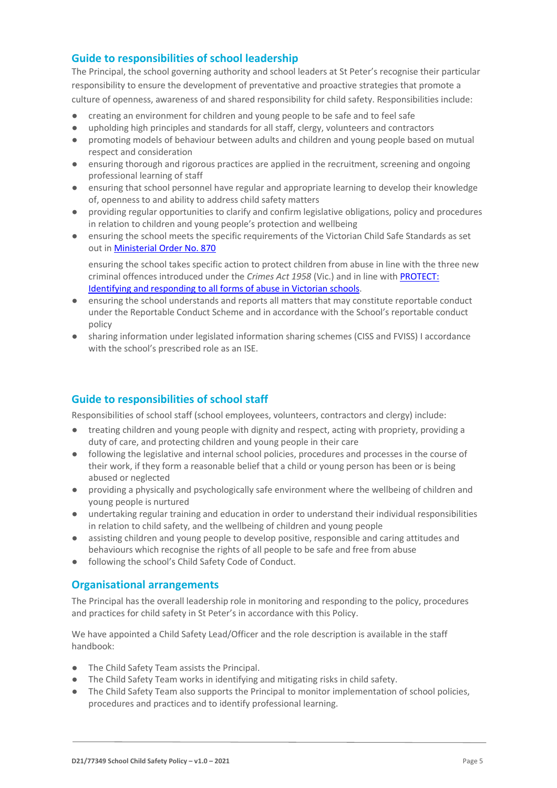#### **Guide to responsibilities of school leadership**

The Principal, the school governing authority and school leaders at St Peter's recognise their particular responsibility to ensure the development of preventative and proactive strategies that promote a culture of openness, awareness of and shared responsibility for child safety. Responsibilities include:

- creating an environment for children and young people to be safe and to feel safe
- upholding high principles and standards for all staff, clergy, volunteers and contractors
- promoting models of behaviour between adults and children and young people based on mutual respect and consideration
- ensuring thorough and rigorous practices are applied in the recruitment, screening and ongoing professional learning of staff
- ensuring that school personnel have regular and appropriate learning to develop their knowledge of, openness to and ability to address child safety matters
- providing regular opportunities to clarify and confirm legislative obligations, policy and procedures in relation to children and young people's protection and wellbeing
- ensuring the school meets the specific requirements of the Victorian Child Safe Standards as set out in [Ministerial Order No. 870](http://www.gazette.vic.gov.au/gazette/Gazettes2016/GG2016S002.pdf)

ensuring the school takes specific action to protect children from abuse in line with the three new criminal offences introduced under the *Crimes Act 1958* (Vic.) and in line with [PROTECT:](http://www.cecv.catholic.edu.au/getmedia/ebe135a4-d1b3-48a0-81fe-50d4fc451bcd/Identifying-and-Responding-to-All-Forms-of-Abuse.aspx)  [Identifying and responding to all forms of abuse in Victorian schools.](http://www.cecv.catholic.edu.au/getmedia/ebe135a4-d1b3-48a0-81fe-50d4fc451bcd/Identifying-and-Responding-to-All-Forms-of-Abuse.aspx)

- ensuring the school understands and reports all matters that may constitute reportable conduct under the Reportable Conduct Scheme and in accordance with the School's reportable conduct policy
- sharing information under legislated information sharing schemes (CISS and FVISS) I accordance with the school's prescribed role as an ISE.

#### **Guide to responsibilities of school staff**

Responsibilities of school staff (school employees, volunteers, contractors and clergy) include:

- treating children and young people with dignity and respect, acting with propriety, providing a duty of care, and protecting children and young people in their care
- following the legislative and internal school policies, procedures and processes in the course of their work, if they form a reasonable belief that a child or young person has been or is being abused or neglected
- providing a physically and psychologically safe environment where the wellbeing of children and young people is nurtured
- undertaking regular training and education in order to understand their individual responsibilities in relation to child safety, and the wellbeing of children and young people
- assisting children and young people to develop positive, responsible and caring attitudes and behaviours which recognise the rights of all people to be safe and free from abuse
- following the school's Child Safety Code of Conduct.

#### **Organisational arrangements**

The Principal has the overall leadership role in monitoring and responding to the policy, procedures and practices for child safety in St Peter's in accordance with this Policy.

We have appointed a Child Safety Lead/Officer and the role description is available in the staff handbook:

- The Child Safety Team assists the Principal.
- The Child Safety Team works in identifying and mitigating risks in child safety.
- The Child Safety Team also supports the Principal to monitor implementation of school policies, procedures and practices and to identify professional learning.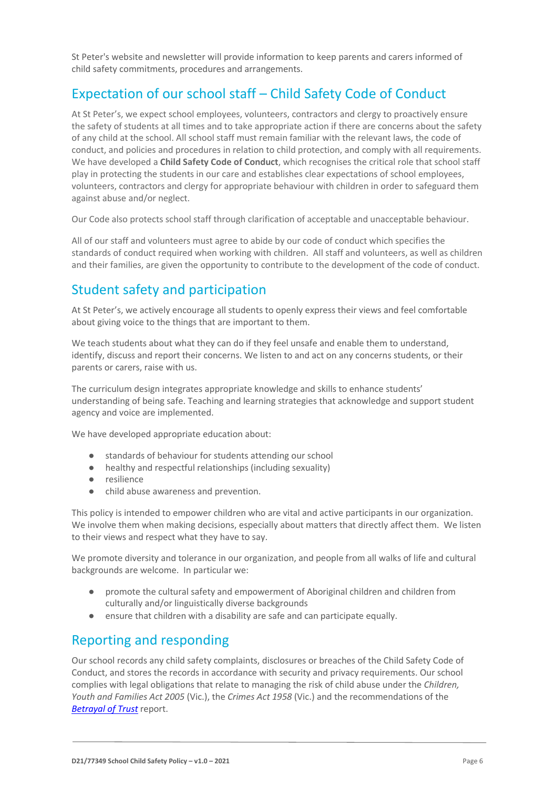St Peter's website and newsletter will provide information to keep parents and carers informed of child safety commitments, procedures and arrangements.

## Expectation of our school staff – Child Safety Code of Conduct

At St Peter's, we expect school employees, volunteers, contractors and clergy to proactively ensure the safety of students at all times and to take appropriate action if there are concerns about the safety of any child at the school. All school staff must remain familiar with the relevant laws, the code of conduct, and policies and procedures in relation to child protection, and comply with all requirements. We have developed a **Child Safety Code of Conduct**, which recognises the critical role that school staff play in protecting the students in our care and establishes clear expectations of school employees, volunteers, contractors and clergy for appropriate behaviour with children in order to safeguard them against abuse and/or neglect.

Our Code also protects school staff through clarification of acceptable and unacceptable behaviour.

All of our staff and volunteers must agree to abide by our code of conduct which specifies the standards of conduct required when working with children. All staff and volunteers, as well as children and their families, are given the opportunity to contribute to the development of the code of conduct.

## Student safety and participation

At St Peter's, we actively encourage all students to openly express their views and feel comfortable about giving voice to the things that are important to them.

We teach students about what they can do if they feel unsafe and enable them to understand, identify, discuss and report their concerns. We listen to and act on any concerns students, or their parents or carers, raise with us.

The curriculum design integrates appropriate knowledge and skills to enhance students' understanding of being safe. Teaching and learning strategies that acknowledge and support student agency and voice are implemented.

We have developed appropriate education about:

- standards of behaviour for students attending our school
- healthy and respectful relationships (including sexuality)
- resilience
- child abuse awareness and prevention.

This policy is intended to empower children who are vital and active participants in our organization. We involve them when making decisions, especially about matters that directly affect them. We listen to their views and respect what they have to say.

We promote diversity and tolerance in our organization, and people from all walks of life and cultural backgrounds are welcome. In particular we:

- promote the cultural safety and empowerment of Aboriginal children and children from culturally and/or linguistically diverse backgrounds
- ensure that children with a disability are safe and can participate equally.

## Reporting and responding

Our school records any child safety complaints, disclosures or breaches of the Child Safety Code of Conduct, and stores the records in accordance with security and privacy requirements. Our school complies with legal obligations that relate to managing the risk of child abuse under the *Children, Youth and Families Act 2005* (Vic.), the *Crimes Act 1958* (Vic.) and the recommendations of the *[Betrayal of Trust](http://www.parliament.vic.gov.au/fcdc/article/1788)* report.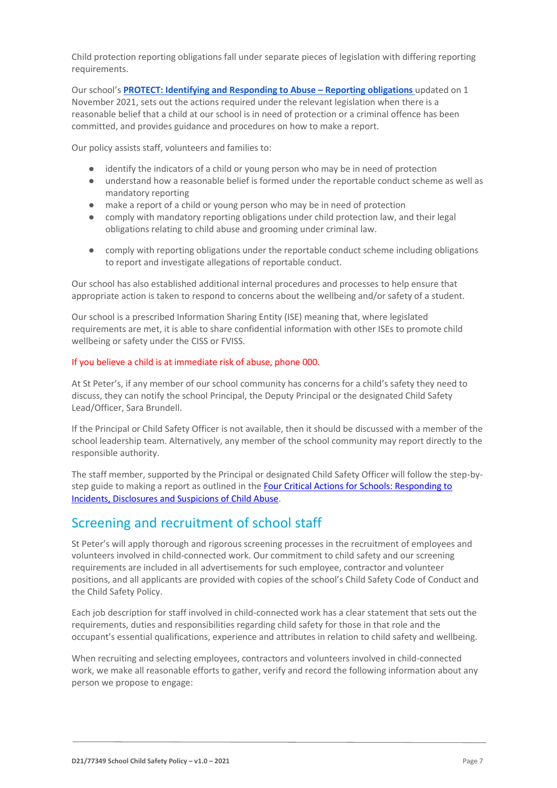Child protection reporting obligations fall under separate pieces of legislation with differing reporting requirements.

Our school's **[PROTECT: Identifying and Responding to Abuse](https://drive.google.com/file/d/1UXy8Op7PrikqtfN_MeNHHe6w3OYpC_Nb/view?usp=sharing) – Reporting obligation[s](https://drive.google.com/file/d/1UXy8Op7PrikqtfN_MeNHHe6w3OYpC_Nb/view?usp=sharing)** updated on 1 November 2021, sets out the actions required under the relevant legislation when there is a reasonable belief that a child at our school is in need of protection or a criminal offence has been committed, and provides guidance and procedures on how to make a report.

Our policy assists staff, volunteers and families to:

- identify the indicators of a child or young person who may be in need of protection
- understand how a reasonable belief is formed under the reportable conduct scheme as well as mandatory reporting
- make a report of a child or young person who may be in need of protection
- comply with mandatory reporting obligations under child protection law, and their legal obligations relating to child abuse and grooming under criminal law.
- comply with reporting obligations under the reportable conduct scheme including obligations to report and investigate allegations of reportable conduct.

Our school has also established additional internal procedures and processes to help ensure that appropriate action is taken to respond to concerns about the wellbeing and/or safety of a student.

Our school is a prescribed Information Sharing Entity (ISE) meaning that, where legislated requirements are met, it is able to share confidential information with other ISEs to promote child wellbeing or safety under the CISS or FVISS.

#### If you believe a child is at immediate risk of abuse, phone 000.

At St Peter's, if any member of our school community has concerns for a child's safety they need to discuss, they can notify the school Principal, the Deputy Principal or the designated Child Safety Lead/Officer, Sara Brundell.

If the Principal or Child Safety Officer is not available, then it should be discussed with a member of the school leadership team. Alternatively, any member of the school community may report directly to the responsible authority.

The staff member, supported by the Principal or designated Child Safety Officer will follow the step-bystep guide to making a report as outlined in the Four Critical Actions for Schools: Responding to [Incidents, Disclosures and Suspicions of Child Abuse.](https://www.education.vic.gov.au/Documents/about/programs/health/protect/FourCriticalActions_ChildAbuse.pdf)

### Screening and recruitment of school staff

St Peter's will apply thorough and rigorous screening processes in the recruitment of employees and volunteers involved in child-connected work. Our commitment to child safety and our screening requirements are included in all advertisements for such employee, contractor and volunteer positions, and all applicants are provided with copies of the school's Child Safety Code of Conduct and the Child Safety Policy.

Each job description for staff involved in child-connected work has a clear statement that sets out the requirements, duties and responsibilities regarding child safety for those in that role and the occupant's essential qualifications, experience and attributes in relation to child safety and wellbeing.

When recruiting and selecting employees, contractors and volunteers involved in child-connected work, we make all reasonable efforts to gather, verify and record the following information about any person we propose to engage: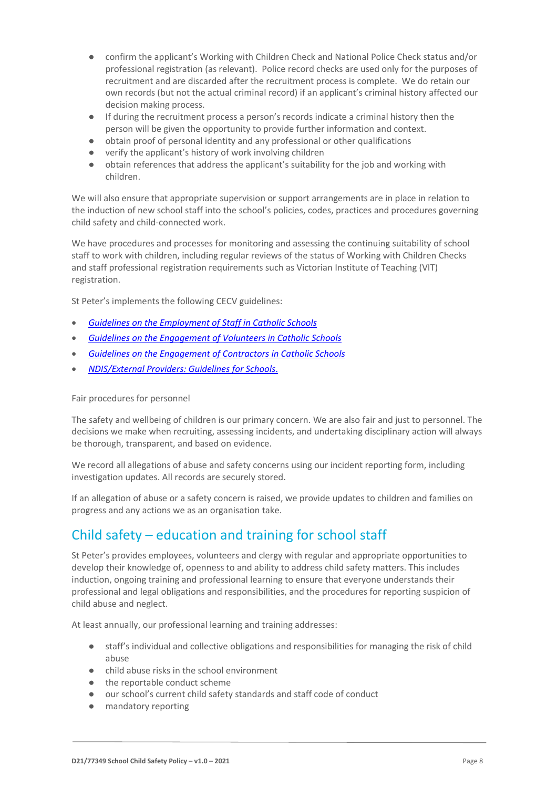- confirm the applicant's Working with Children Check and National Police Check status and/or professional registration (as relevant). Police record checks are used only for the purposes of recruitment and are discarded after the recruitment process is complete. We do retain our own records (but not the actual criminal record) if an applicant's criminal history affected our decision making process.
- If during the recruitment process a person's records indicate a criminal history then the person will be given the opportunity to provide further information and context.
- obtain proof of personal identity and any professional or other qualifications
- verify the applicant's history of work involving children
- obtain references that address the applicant's suitability for the job and working with children.

We will also ensure that appropriate supervision or support arrangements are in place in relation to the induction of new school staff into the school's policies, codes, practices and procedures governing child safety and child-connected work.

We have procedures and processes for monitoring and assessing the continuing suitability of school staff to work with children, including regular reviews of the status of Working with Children Checks and staff professional registration requirements such as Victorian Institute of Teaching (VIT) registration.

St Peter's implements the following CECV guidelines:

- *[Guidelines on the Employment of Staff in](https://www.cecv.catholic.edu.au/getmedia/0393d7fb-2fb9-4e48-a05e-56b703dd62eb/Employment-Guidelines.aspx#:~:text=The%20Catholic%20Education%20Commission%20of,a%20fair%20and%20lawful%20manner.) Catholic Schools*
- *[Guidelines on the Engagement of Volunteers in Catholic Schools](https://www.cecv.catholic.edu.au/Media-Files/IR/Policies-Guidelines/Volunteers/Guidelines-on-the-Engagement-of-Volunteers.aspx)*
- *[Guidelines on the Engagement of Contractors in Catholic Schools](https://www.cecv.catholic.edu.au/getmedia/a099f220-2e9a-4b5a-9147-8f11e49a28d1/Contractor-Guidelines.aspx)*
- *[NDIS/External Providers: Guidelines for Schools](https://www.cecv.catholic.edu.au/getmedia/cec12bdf-5e03-4d3a-ac47-504fe084f415/NDIS-External-Providers-Guidelines.aspx?ext=.pdf)*.

#### Fair procedures for personnel

The safety and wellbeing of children is our primary concern. We are also fair and just to personnel. The decisions we make when recruiting, assessing incidents, and undertaking disciplinary action will always be thorough, transparent, and based on evidence.

We record all allegations of abuse and safety concerns using our incident reporting form, including investigation updates. All records are securely stored.

If an allegation of abuse or a safety concern is raised, we provide updates to children and families on progress and any actions we as an organisation take.

## Child safety – education and training for school staff

St Peter's provides employees, volunteers and clergy with regular and appropriate opportunities to develop their knowledge of, openness to and ability to address child safety matters. This includes induction, ongoing training and professional learning to ensure that everyone understands their professional and legal obligations and responsibilities, and the procedures for reporting suspicion of child abuse and neglect.

At least annually, our professional learning and training addresses:

- staff's individual and collective obligations and responsibilities for managing the risk of child abuse
- child abuse risks in the school environment
- the reportable conduct scheme
- our school's current child safety standards and staff code of conduct
- mandatory reporting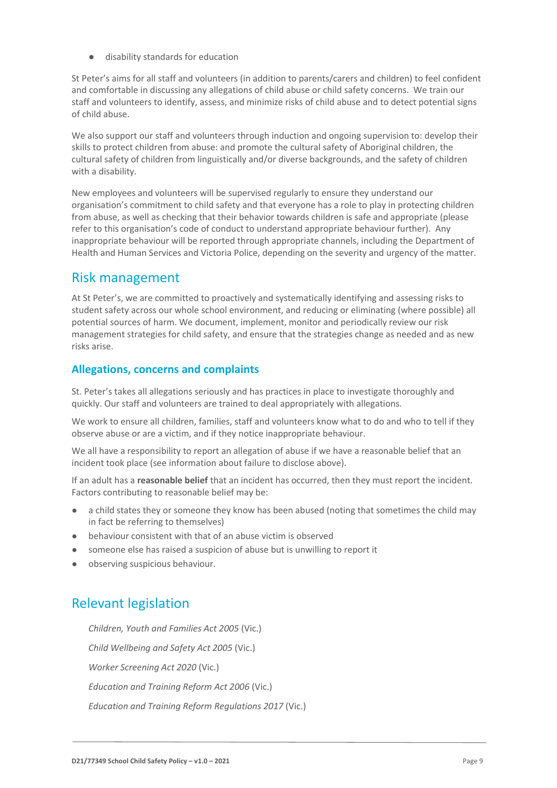● disability standards for education

St Peter's aims for all staff and volunteers (in addition to parents/carers and children) to feel confident and comfortable in discussing any allegations of child abuse or child safety concerns. We train our staff and volunteers to identify, assess, and minimize risks of child abuse and to detect potential signs of child abuse.

We also support our staff and volunteers through induction and ongoing supervision to: develop their skills to protect children from abuse: and promote the cultural safety of Aboriginal children, the cultural safety of children from linguistically and/or diverse backgrounds, and the safety of children with a disability.

New employees and volunteers will be supervised regularly to ensure they understand our organisation's commitment to child safety and that everyone has a role to play in protecting children from abuse, as well as checking that their behavior towards children is safe and appropriate (please refer to this organisation's code of conduct to understand appropriate behaviour further). Any inappropriate behaviour will be reported through appropriate channels, including the Department of Health and Human Services and Victoria Police, depending on the severity and urgency of the matter.

### Risk management

At St Peter's, we are committed to proactively and systematically identifying and assessing risks to student safety across our whole school environment, and reducing or eliminating (where possible) all potential sources of harm. We document, implement, monitor and periodically review our risk management strategies for child safety, and ensure that the strategies change as needed and as new risks arise.

#### **Allegations, concerns and complaints**

St. Peter's takes all allegations seriously and has practices in place to investigate thoroughly and quickly. Our staff and volunteers are trained to deal appropriately with allegations.

We work to ensure all children, families, staff and volunteers know what to do and who to tell if they observe abuse or are a victim, and if they notice inappropriate behaviour.

We all have a responsibility to report an allegation of abuse if we have a reasonable belief that an incident took place (see information about failure to disclose above).

If an adult has a **reasonable belief** that an incident has occurred, then they must report the incident. Factors contributing to reasonable belief may be:

- a child states they or someone they know has been abused (noting that sometimes the child may in fact be referring to themselves)
- behaviour consistent with that of an abuse victim is observed
- someone else has raised a suspicion of abuse but is unwilling to report it
- observing suspicious behaviour.

## Relevant legislation

● *Children, Youth and Families Act 2005* (Vic.) ● *Child Wellbeing and Safety Act 2005* (Vic.) ● *Worker Screening Act 2020* (Vic.) ● *Education and Training Reform Act 2006* (Vic.) ● *Education and Training Reform Regulations 2017* (Vic.)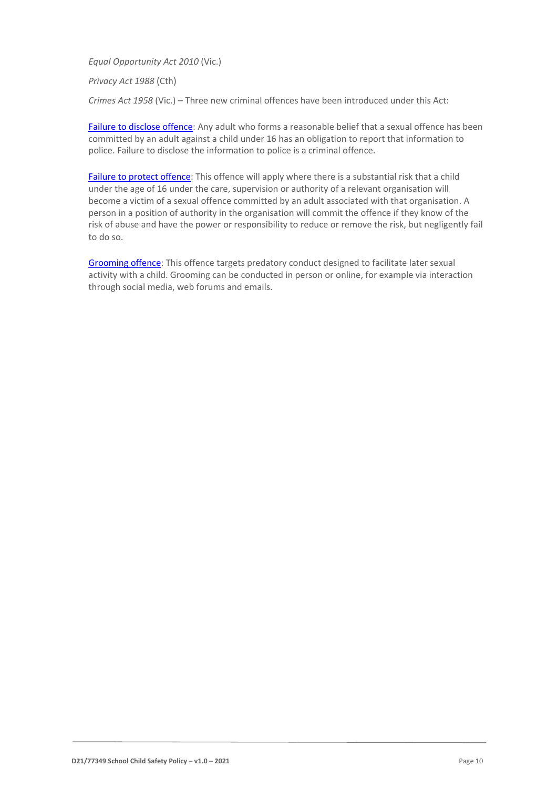● *Equal Opportunity Act 2010* (Vic.)

● *Privacy Act 1988* (Cth)

Crimes Act 1958 (Vic.) – Three new criminal offences have been introduced under this Act:

[Failure to disclose offence:](https://www.justice.vic.gov.au/safer-communities/protecting-children-and-families/failure-to-disclose-offence#%3A~%3Atext%3DIn%202014%2C%20the%20law%20in%20Victoria%20was%20changed%2Coffended%20against%20a%20child%20under%2016%20in%20Victoria) Any adult who forms a reasonable belief that a sexual offence has been committed by an adult against a child under 16 has an obligation to report that information to police. Failure to disclose the information to police is a criminal offence.

[Failure to protect offence:](https://www.justice.vic.gov.au/safer-communities/protecting-children-and-families/failure-to-protect-a-new-criminal-offence-to#%3A~%3Atext%3DFailure%20to%20protect%3A%20a%20new%20criminal%20offence%20to%2Cfrom%20sexual%20abuse%20and%20exposure%20to%20sexual%20offenders) This offence will apply where there is a substantial risk that a child under the age of 16 under the care, supervision or authority of a relevant organisation will become a victim of a sexual offence committed by an adult associated with that organisation. A person in a position of authority in the organisation will commit the offence if they know of the risk of abuse and have the power or responsibility to reduce or remove the risk, but negligently fail to do so.

[Grooming offence:](https://www.justice.vic.gov.au/safer-communities/protecting-children-and-families/grooming-offence) This offence targets predatory conduct designed to facilitate later sexual activity with a child. Grooming can be conducted in person or online, for example via interaction through social media, web forums and emails.